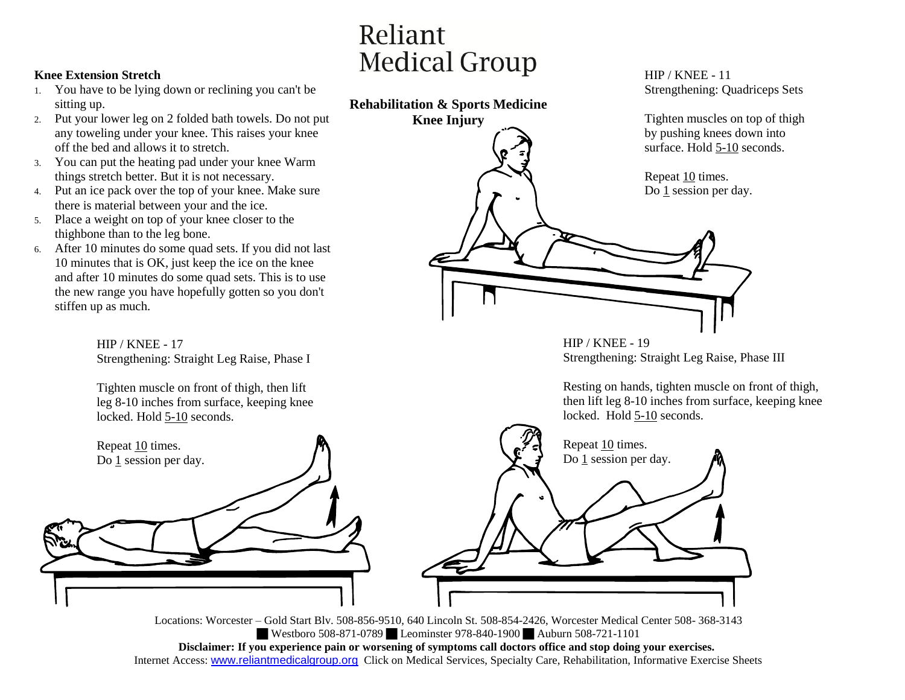## **Knee Extension Stretch**

- 1. You have to be lying down or reclining you can't be sitting up.
- 2. Put your lower leg on 2 folded bath towels. Do not put any toweling under your knee. This raises your knee off the bed and allows it to stretch.
- 3. You can put the heating pad under your knee Warm things stretch better. But it is not necessary.
- 4. Put an ice pack over the top of your knee. Make sure there is material between your and the ice.
- 5. Place a weight on top of your knee closer to the thighbone than to the leg bone.

Repeat 10 times. Do 1 session per day.

6. After 10 minutes do some quad sets. If you did not last 10 minutes that is OK, just keep the ice on the knee and after 10 minutes do some quad sets. This is to use the new range you have hopefully gotten so you don't stiffen up as much.

> HIP / KNEE - 17 Strengthening: Straight Leg Raise, Phase I

Tighten muscle on front of thigh, then lift leg 8-10 inches from surface, keeping knee locked. Hold 5-10 seconds.





Locations: Worcester – Gold Start Blv. 508-856-9510, 640 Lincoln St. 508-854-2426, Worcester Medical Center 508- 368-3143 Westboro 508-871-0789 Leominster 978-840-1900 Auburn 508-721-1101 **Disclaimer: If you experience pain or worsening of symptoms call doctors office and stop doing your exercises.** Internet Access: www.reliantmedicalgroup.org Click on Medical Services, Specialty Care, Rehabilitation, Informative Exercise Sheets